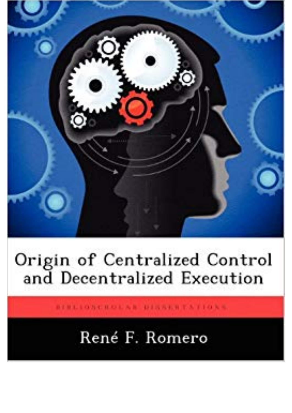

## Origin of Centralized Control<br>and Decentralized Execution

BIBLIONCHOLAR DISSERTATIONS.

## René F. Romero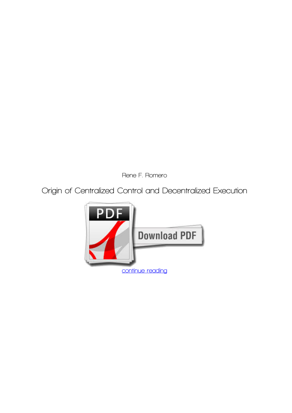*Rene F. Romero*

**Origin of Centralized Control and Decentralized Execution**

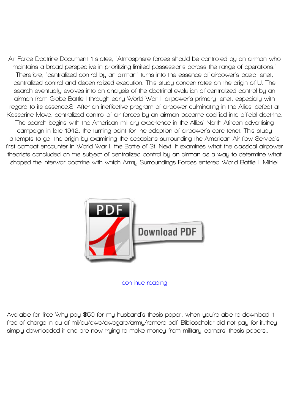**Air Force Doctrine Document 1 states, "Atmosphere forces should be controlled by an airman who maintains a broad perspective in prioritizing limited possessions across the range of operations." Therefore, "centralized control by an airman" turns into the essence of airpower's basic tenet, centralized control and decentralized execution. This study concentrates on the origin of U. The search eventually evolves into an analysis of the doctrinal evolution of centralized control by an airman from Globe Battle I through early World War II. airpower's primary tenet, especially with regard to its essence.S. After an ineffective program of airpower culminating in the Allies' defeat at Kasserine Move, centralized control of air forces by an airman became codified into official doctrine. The search begins with the American military experience in the Allies' North African advertising campaign in late 1942, the turning point for the adoption of airpower's core tenet. This study attempts to get the origin by examining the occasions surrounding the American Air flow Service's first combat encounter in World War I, the Battle of St. Next, it examines what the classical airpower theorists concluded on the subject of centralized control by an airman as a way to determine what shaped the interwar doctrine with which Army Surroundings Forces entered World Battle II. Mihiel.**



**[continue reading](http://bit.ly/2Tge8Fv)**

**Available for free Why pay \$50 for my husband's thesis paper, when you're able to download it free of charge in au af mil/au/awc/awcgate/army/romero pdf. Biblioscholar did not pay for it..they simply downloaded it and are now trying to make money from military learners' thesis papers..**